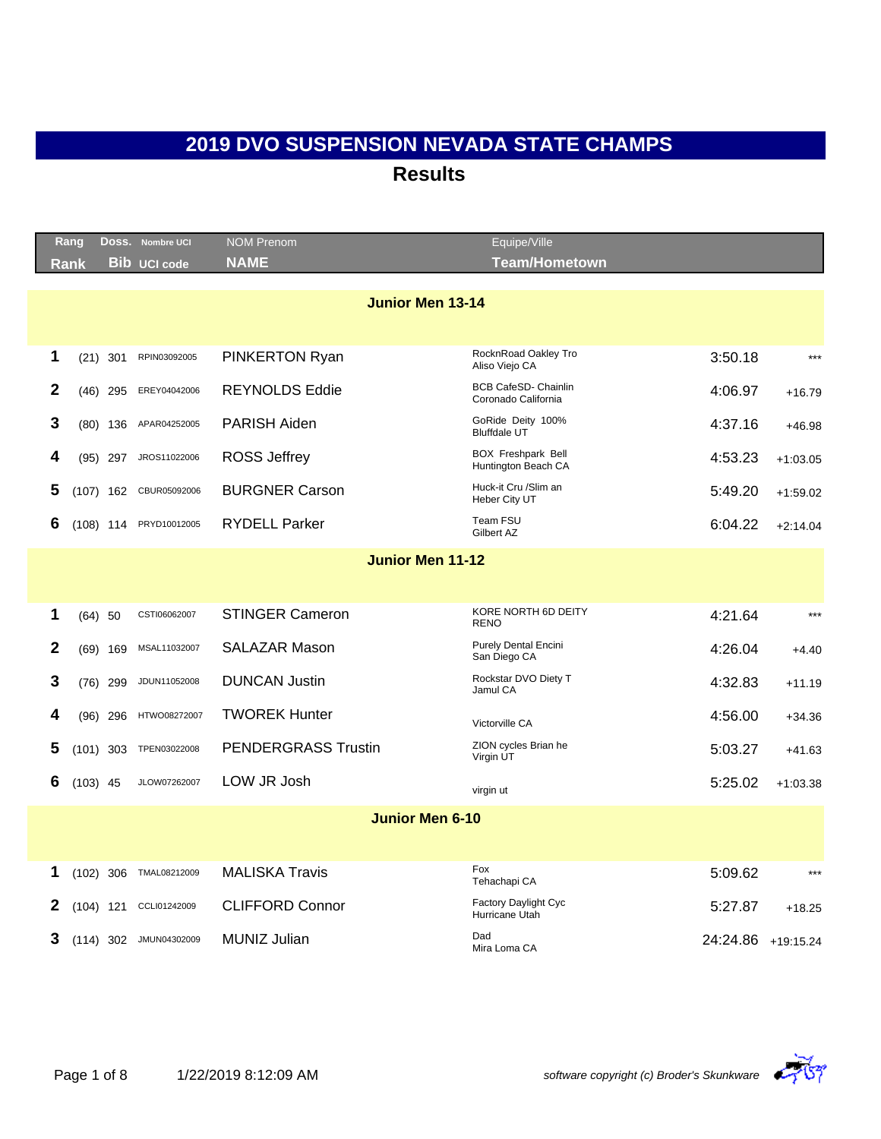|              | Rang |            | Doss. Nombre UCI       | <b>NOM Prenom</b>          | Equipe/Ville                                       |                    |            |  |  |  |
|--------------|------|------------|------------------------|----------------------------|----------------------------------------------------|--------------------|------------|--|--|--|
|              | Rank |            | <b>Bib UCI code</b>    | <b>NAME</b>                | Team/Hometown                                      |                    |            |  |  |  |
|              |      |            |                        | <b>Junior Men 13-14</b>    |                                                    |                    |            |  |  |  |
|              |      |            |                        |                            |                                                    |                    |            |  |  |  |
| 1            |      | $(21)$ 301 | RPIN03092005           | <b>PINKERTON Ryan</b>      | RocknRoad Oakley Tro<br>Aliso Viejo CA             | 3:50.18            | $***$      |  |  |  |
| $\mathbf{2}$ |      | (46) 295   | EREY04042006           | <b>REYNOLDS Eddie</b>      | <b>BCB CafeSD- Chainlin</b><br>Coronado California | 4:06.97            | $+16.79$   |  |  |  |
| 3            |      | $(80)$ 136 | APAR04252005           | PARISH Aiden               | GoRide Deity 100%<br><b>Bluffdale UT</b>           | 4:37.16            | $+46.98$   |  |  |  |
| 4            |      |            | (95) 297 JROS11022006  | <b>ROSS Jeffrey</b>        | <b>BOX Freshpark Bell</b><br>Huntington Beach CA   | 4:53.23            | $+1:03.05$ |  |  |  |
| 5            |      |            | (107) 162 CBUR05092006 | <b>BURGNER Carson</b>      | Huck-it Cru /Slim an<br>Heber City UT              | 5:49.20            | $+1:59.02$ |  |  |  |
| 6            |      |            | (108) 114 PRYD10012005 | <b>RYDELL Parker</b>       | Team FSU<br>Gilbert AZ                             | 6:04.22            | $+2:14.04$ |  |  |  |
|              |      |            |                        | <b>Junior Men 11-12</b>    |                                                    |                    |            |  |  |  |
|              |      |            |                        |                            |                                                    |                    |            |  |  |  |
| 1            |      | $(64)$ 50  | CSTI06062007           | <b>STINGER Cameron</b>     | KORE NORTH 6D DEITY<br><b>RENO</b>                 | 4:21.64            | $***$      |  |  |  |
| $\mathbf{2}$ |      | $(69)$ 169 | MSAL11032007           | <b>SALAZAR Mason</b>       | <b>Purely Dental Encini</b><br>San Diego CA        | 4:26.04            | $+4.40$    |  |  |  |
| 3            |      | $(76)$ 299 | JDUN11052008           | <b>DUNCAN Justin</b>       | Rockstar DVO Diety T<br>Jamul CA                   | 4:32.83            | $+11.19$   |  |  |  |
| 4            | (96) | 296        | HTWO08272007           | <b>TWOREK Hunter</b>       | Victorville CA                                     | 4:56.00            | $+34.36$   |  |  |  |
| 5            |      |            | (101) 303 TPEN03022008 | <b>PENDERGRASS Trustin</b> | ZION cycles Brian he<br>Virgin UT                  | 5:03.27            | $+41.63$   |  |  |  |
| 6            |      | $(103)$ 45 | JLOW07262007           | LOW JR Josh                | virgin ut                                          | 5:25.02            | $+1:03.38$ |  |  |  |
|              |      |            |                        | <b>Junior Men 6-10</b>     |                                                    |                    |            |  |  |  |
|              |      |            |                        |                            |                                                    |                    |            |  |  |  |
| 1            |      |            | (102) 306 TMAL08212009 | <b>MALISKA Travis</b>      | Fox<br>Tehachapi CA                                | 5:09.62            | $***$      |  |  |  |
| 2            |      |            | (104) 121 CCLI01242009 | <b>CLIFFORD Connor</b>     | Factory Daylight Cyc<br>Hurricane Utah             | 5:27.87            | $+18.25$   |  |  |  |
| 3            |      |            | (114) 302 JMUN04302009 | MUNIZ Julian               | Dad<br>Mira Loma CA                                | 24:24.86 +19:15.24 |            |  |  |  |

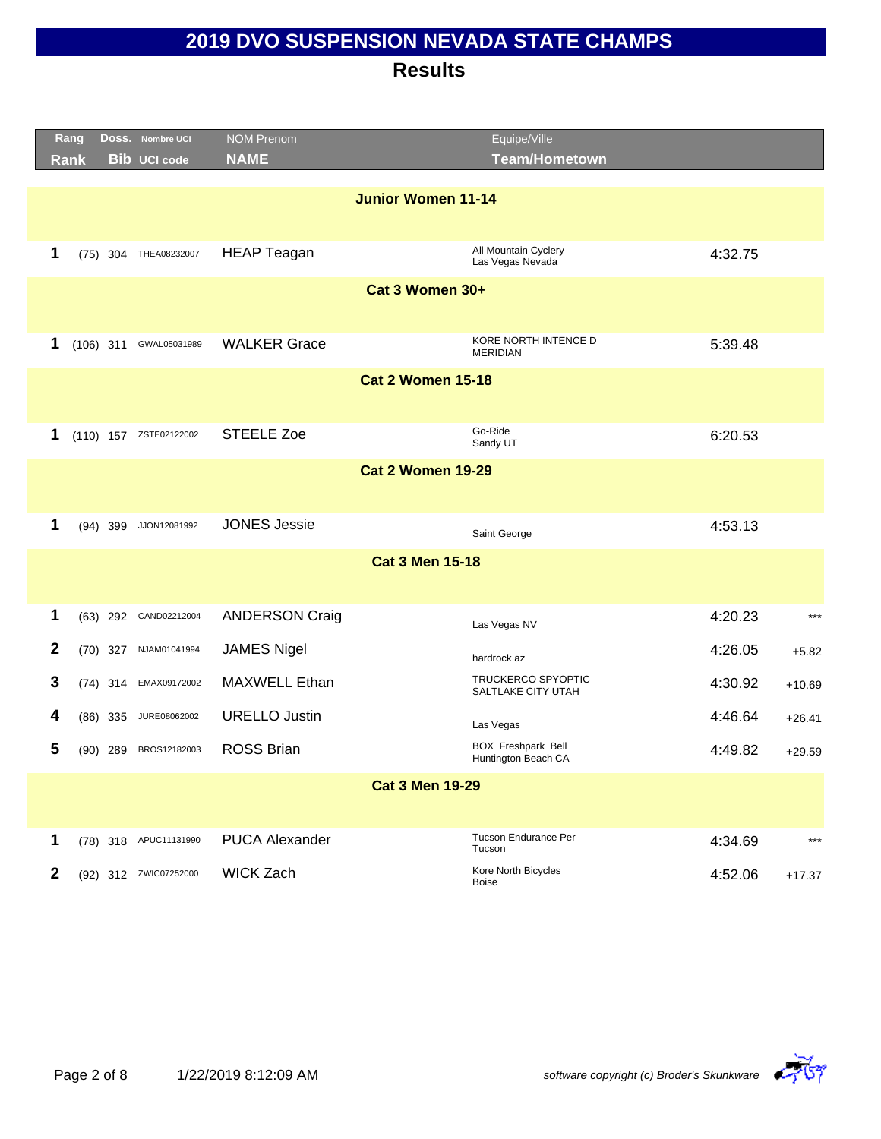|              | Rang |             | DOSS. Nombre UCI       | <b>NOM Prenom</b>         | Equipe/Ville                                     |         |          |
|--------------|------|-------------|------------------------|---------------------------|--------------------------------------------------|---------|----------|
|              | Rank |             | <b>Bib UCI code</b>    | <b>NAME</b>               | <b>Team/Hometown</b>                             |         |          |
|              |      |             |                        |                           |                                                  |         |          |
|              |      |             |                        | <b>Junior Women 11-14</b> |                                                  |         |          |
|              |      |             |                        |                           |                                                  |         |          |
| 1            |      |             | (75) 304 THEA08232007  | <b>HEAP Teagan</b>        | All Mountain Cyclery<br>Las Vegas Nevada         | 4:32.75 |          |
|              |      |             |                        | Cat 3 Women 30+           |                                                  |         |          |
|              |      |             |                        |                           |                                                  |         |          |
| 1            |      | $(106)$ 311 | GWAL05031989           | <b>WALKER Grace</b>       | KORE NORTH INTENCE D                             | 5:39.48 |          |
|              |      |             |                        |                           | <b>MERIDIAN</b>                                  |         |          |
|              |      |             |                        | <b>Cat 2 Women 15-18</b>  |                                                  |         |          |
|              |      |             |                        |                           |                                                  |         |          |
| 1            |      |             | (110) 157 ZSTE02122002 | <b>STEELE Zoe</b>         | Go-Ride                                          | 6:20.53 |          |
|              |      |             |                        |                           | Sandy UT                                         |         |          |
|              |      |             |                        | <b>Cat 2 Women 19-29</b>  |                                                  |         |          |
|              |      |             |                        |                           |                                                  |         |          |
| 1            |      | $(94)$ 399  | JJON12081992           | <b>JONES Jessie</b>       |                                                  | 4:53.13 |          |
|              |      |             |                        |                           | Saint George                                     |         |          |
|              |      |             |                        | <b>Cat 3 Men 15-18</b>    |                                                  |         |          |
|              |      |             |                        |                           |                                                  |         |          |
| 1            |      | $(63)$ 292  | CAND02212004           | <b>ANDERSON Craig</b>     |                                                  | 4:20.23 | $***$    |
|              |      |             |                        |                           | Las Vegas NV                                     |         |          |
| $\mathbf{2}$ |      |             | (70) 327 NJAM01041994  | <b>JAMES Nigel</b>        | hardrock az                                      | 4:26.05 | $+5.82$  |
| 3            |      | $(74)$ 314  | EMAX09172002           | MAXWELL Ethan             | <b>TRUCKERCO SPYOPTIC</b><br>SALTLAKE CITY UTAH  | 4:30.92 | $+10.69$ |
| 4            |      |             | JURE08062002           | <b>URELLO Justin</b>      |                                                  |         |          |
|              |      | $(86)$ 335  |                        |                           | Las Vegas                                        | 4:46.64 | $+26.41$ |
| 5            |      | (90) 289    | BROS12182003           | <b>ROSS Brian</b>         | <b>BOX Freshpark Bell</b><br>Huntington Beach CA | 4:49.82 | $+29.59$ |
|              |      |             |                        | <b>Cat 3 Men 19-29</b>    |                                                  |         |          |
|              |      |             |                        |                           |                                                  |         |          |
| 1            |      |             | (78) 318 APUC11131990  | <b>PUCA Alexander</b>     | Tucson Endurance Per<br>Tucson                   | 4:34.69 | $***$    |
| 2            |      |             | (92) 312 ZWIC07252000  | <b>WICK Zach</b>          | Kore North Bicycles<br><b>Boise</b>              | 4:52.06 | $+17.37$ |

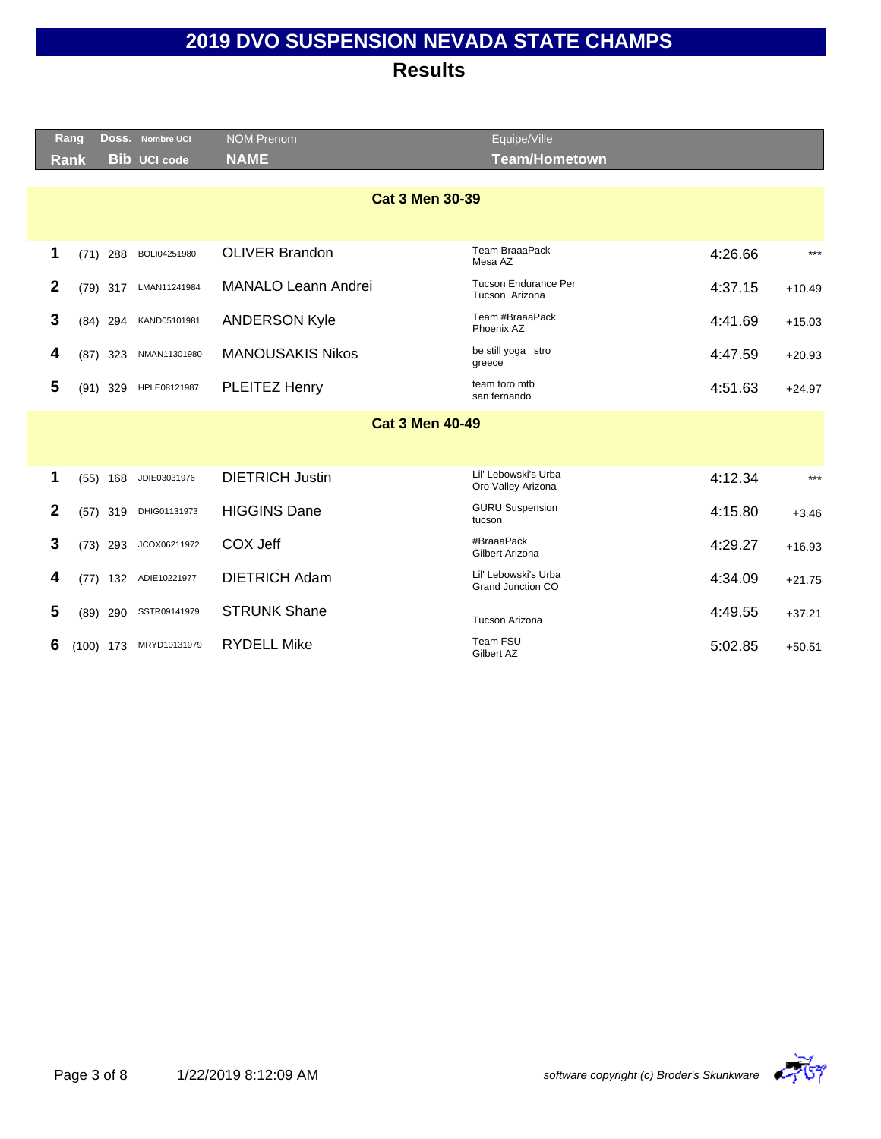|              | Rang        |             | Doss. Nombre UCI    | <b>NOM Prenom</b>          | Equipe/Ville                                  |         |          |
|--------------|-------------|-------------|---------------------|----------------------------|-----------------------------------------------|---------|----------|
|              | <b>Rank</b> |             | <b>Bib UCI code</b> | <b>NAME</b>                | <b>Team/Hometown</b>                          |         |          |
|              |             |             |                     |                            |                                               |         |          |
|              |             |             |                     | <b>Cat 3 Men 30-39</b>     |                                               |         |          |
|              |             |             |                     |                            |                                               |         |          |
| 1            |             | $(71)$ 288  | BOLI04251980        | <b>OLIVER Brandon</b>      | Team BraaaPack<br>Mesa AZ                     | 4:26.66 | $***$    |
| $\mathbf{2}$ |             | $(79)$ 317  | LMAN11241984        | <b>MANALO Leann Andrei</b> | <b>Tucson Endurance Per</b><br>Tucson Arizona | 4:37.15 | $+10.49$ |
| 3            |             | $(84)$ 294  | KAND05101981        | <b>ANDERSON Kyle</b>       | Team #BraaaPack<br>Phoenix AZ                 | 4:41.69 | $+15.03$ |
| 4            |             | $(87)$ 323  | NMAN11301980        | <b>MANOUSAKIS Nikos</b>    | be still yoga stro<br>greece                  | 4:47.59 | $+20.93$ |
| 5            |             | $(91)$ 329  | HPLE08121987        | PLEITEZ Henry              | team toro mtb<br>san fernando                 | 4:51.63 | $+24.97$ |
|              |             |             |                     | <b>Cat 3 Men 40-49</b>     |                                               |         |          |
|              |             |             |                     |                            |                                               |         |          |
| 1            |             | $(55)$ 168  | JDIE03031976        | <b>DIETRICH Justin</b>     | Lil' Lebowski's Urba<br>Oro Valley Arizona    | 4:12.34 | $***$    |
| $\mathbf{2}$ |             | $(57)$ 319  | DHIG01131973        | <b>HIGGINS Dane</b>        | <b>GURU Suspension</b><br>tucson              | 4:15.80 | $+3.46$  |
| 3            |             | $(73)$ 293  | JCOX06211972        | COX Jeff                   | #BraaaPack<br>Gilbert Arizona                 | 4:29.27 | $+16.93$ |
| 4            | (77)        | 132         | ADIE10221977        | <b>DIETRICH Adam</b>       | Lil' Lebowski's Urba<br>Grand Junction CO     | 4:34.09 | $+21.75$ |
| 5            |             | $(89)$ 290  | SSTR09141979        | <b>STRUNK Shane</b>        | Tucson Arizona                                | 4:49.55 | $+37.21$ |
| 6            |             | $(100)$ 173 | MRYD10131979        | <b>RYDELL Mike</b>         | Team FSU<br>Gilbert AZ                        | 5:02.85 | $+50.51$ |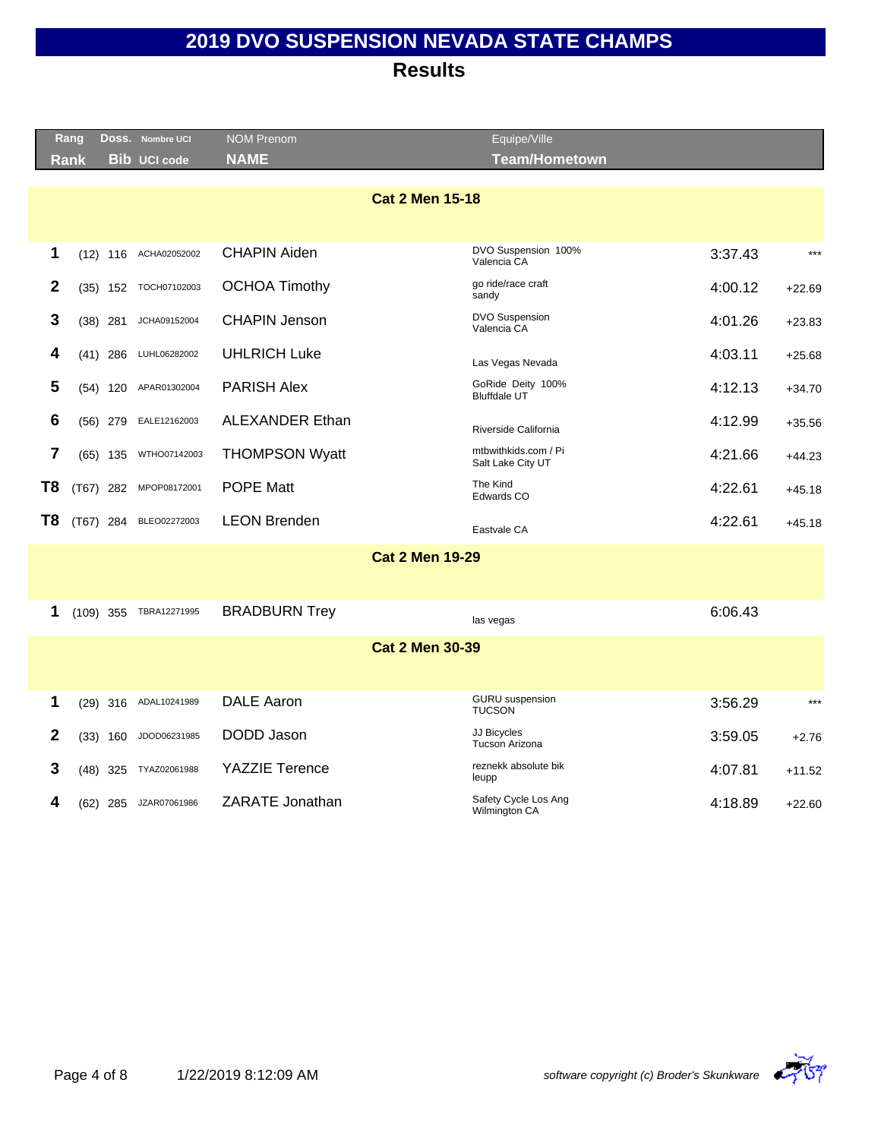|                        | Rang           |             | Doss. Nombre UCI    | <b>NOM Prenom</b>      | Equipe/Ville                              |         |          |  |  |  |
|------------------------|----------------|-------------|---------------------|------------------------|-------------------------------------------|---------|----------|--|--|--|
|                        | Rank           |             | <b>Bib UCI code</b> | <b>NAME</b>            | <b>Team/Hometown</b>                      |         |          |  |  |  |
| <b>Cat 2 Men 15-18</b> |                |             |                     |                        |                                           |         |          |  |  |  |
|                        |                |             |                     |                        |                                           |         |          |  |  |  |
|                        | 1              | $(12)$ 116  | ACHA02052002        | <b>CHAPIN Aiden</b>    | DVO Suspension 100%<br>Valencia CA        | 3:37.43 | $***$    |  |  |  |
|                        | $\mathbf{2}$   | $(35)$ 152  | TOCH07102003        | <b>OCHOA Timothy</b>   | go ride/race craft<br>sandy               | 4:00.12 | $+22.69$ |  |  |  |
|                        | 3              | $(38)$ 281  | JCHA09152004        | <b>CHAPIN Jenson</b>   | DVO Suspension<br>Valencia CA             | 4:01.26 | $+23.83$ |  |  |  |
|                        | 4              | $(41)$ 286  | LUHL06282002        | <b>UHLRICH Luke</b>    | Las Vegas Nevada                          | 4:03.11 | $+25.68$ |  |  |  |
|                        | 5              | $(54)$ 120  | APAR01302004        | <b>PARISH Alex</b>     | GoRide Deity 100%<br><b>Bluffdale UT</b>  | 4:12.13 | $+34.70$ |  |  |  |
|                        | 6              | $(56)$ 279  | EALE12162003        | <b>ALEXANDER Ethan</b> | Riverside California                      | 4:12.99 | $+35.56$ |  |  |  |
|                        | $\overline{7}$ | $(65)$ 135  | WTHO07142003        | <b>THOMPSON Wyatt</b>  | mtbwithkids.com / Pi<br>Salt Lake City UT | 4:21.66 | $+44.23$ |  |  |  |
| T8                     |                | $(T67)$ 282 | MPOP08172001        | <b>POPE Matt</b>       | The Kind<br>Edwards CO                    | 4:22.61 | $+45.18$ |  |  |  |
| T <sub>8</sub>         |                | (T67) 284   | BLEO02272003        | <b>LEON Brenden</b>    | Eastvale CA                               | 4:22.61 | $+45.18$ |  |  |  |
|                        |                |             |                     | <b>Cat 2 Men 19-29</b> |                                           |         |          |  |  |  |
|                        |                |             |                     |                        |                                           |         |          |  |  |  |
|                        | 1              | $(109)$ 355 | TBRA12271995        | <b>BRADBURN Trey</b>   | las vegas                                 | 6:06.43 |          |  |  |  |
|                        |                |             |                     | <b>Cat 2 Men 30-39</b> |                                           |         |          |  |  |  |
|                        |                |             |                     |                        |                                           |         |          |  |  |  |
|                        | 1              | $(29)$ 316  | ADAL10241989        | <b>DALE Aaron</b>      | <b>GURU</b> suspension<br><b>TUCSON</b>   | 3:56.29 | $***$    |  |  |  |
|                        | $\mathbf{2}$   | $(33)$ 160  | JDOD06231985        | DODD Jason             | JJ Bicycles<br>Tucson Arizona             | 3:59.05 | $+2.76$  |  |  |  |
|                        | 3              | $(48)$ 325  | TYAZ02061988        | <b>YAZZIE Terence</b>  | reznekk absolute bik<br>leupp             | 4:07.81 | $+11.52$ |  |  |  |
|                        | 4              | (62) 285    | JZAR07061986        | ZARATE Jonathan        | Safety Cycle Los Ang<br>Wilmington CA     | 4:18.89 | $+22.60$ |  |  |  |
|                        |                |             |                     |                        |                                           |         |          |  |  |  |

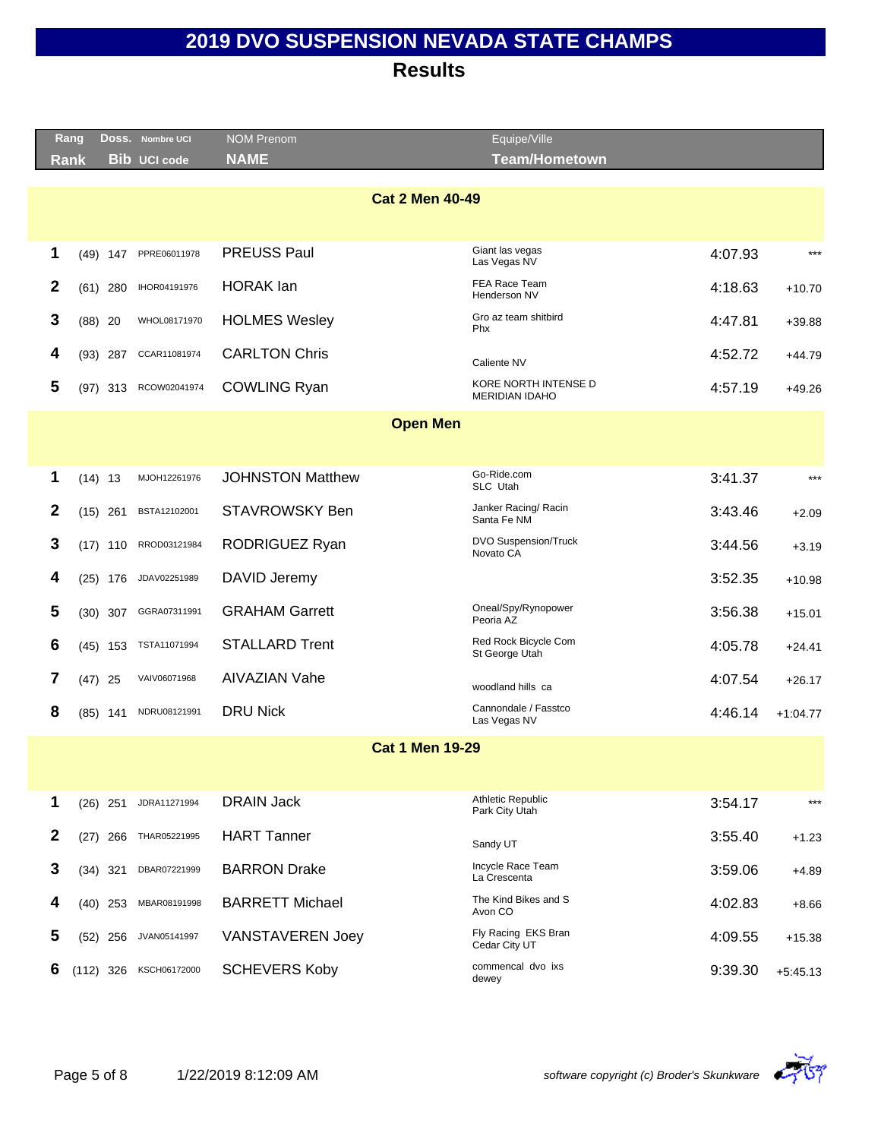|                 | Rang         |             |            | DOSS. Nombre UCI    | <b>NOM Prenom</b>       | Equipe/Ville                               |         |            |  |  |
|-----------------|--------------|-------------|------------|---------------------|-------------------------|--------------------------------------------|---------|------------|--|--|
|                 | <b>Rank</b>  |             |            | <b>Bib UCI code</b> | <b>NAME</b>             | <b>Team/Hometown</b>                       |         |            |  |  |
|                 |              |             |            |                     |                         |                                            |         |            |  |  |
|                 |              |             |            |                     | <b>Cat 2 Men 40-49</b>  |                                            |         |            |  |  |
|                 |              |             |            |                     |                         |                                            |         |            |  |  |
|                 | 1            |             | $(49)$ 147 | PPRE06011978        | <b>PREUSS Paul</b>      | Giant las vegas<br>Las Vegas NV            | 4:07.93 | $***$      |  |  |
|                 | $\mathbf{2}$ |             | $(61)$ 280 | IHOR04191976        | <b>HORAK</b> lan        | FEA Race Team<br>Henderson NV              | 4:18.63 | $+10.70$   |  |  |
|                 | 3            | $(88)$ 20   |            | WHOL08171970        | <b>HOLMES Wesley</b>    | Gro az team shitbird<br>Phx                | 4:47.81 | $+39.88$   |  |  |
|                 | 4            | $(93)$ 287  |            | CCAR11081974        | <b>CARLTON Chris</b>    | Caliente NV                                | 4:52.72 | $+44.79$   |  |  |
|                 | 5            |             | $(97)$ 313 | RCOW02041974        | <b>COWLING Ryan</b>     | KORE NORTH INTENSE D<br>MERIDIAN IDAHO     | 4:57.19 | $+49.26$   |  |  |
| <b>Open Men</b> |              |             |            |                     |                         |                                            |         |            |  |  |
|                 |              |             |            |                     |                         |                                            |         |            |  |  |
|                 | 1            | $(14)$ 13   |            | MJOH12261976        | <b>JOHNSTON Matthew</b> | Go-Ride.com<br>SLC Utah                    | 3:41.37 | $***$      |  |  |
|                 | $\mathbf{2}$ | $(15)$ 261  |            | BSTA12102001        | <b>STAVROWSKY Ben</b>   | Janker Racing/ Racin<br>Santa Fe NM        | 3:43.46 | $+2.09$    |  |  |
|                 | 3            |             | $(17)$ 110 | RROD03121984        | RODRIGUEZ Ryan          | <b>DVO Suspension/Truck</b><br>Novato CA   | 3:44.56 | $+3.19$    |  |  |
|                 | 4            |             | $(25)$ 176 | JDAV02251989        | DAVID Jeremy            |                                            | 3:52.35 | $+10.98$   |  |  |
|                 | 5            |             | $(30)$ 307 | GGRA07311991        | <b>GRAHAM Garrett</b>   | Oneal/Spy/Rynopower<br>Peoria AZ           | 3:56.38 | $+15.01$   |  |  |
|                 | 6            |             | $(45)$ 153 | TSTA11071994        | <b>STALLARD Trent</b>   | Red Rock Bicycle Com<br>St George Utah     | 4:05.78 | $+24.41$   |  |  |
|                 | 7            | $(47)$ 25   |            | VAIV06071968        | <b>AIVAZIAN Vahe</b>    | woodland hills ca                          | 4:07.54 | $+26.17$   |  |  |
|                 | 8            | $(85)$ 141  |            | NDRU08121991        | <b>DRU Nick</b>         | Cannondale / Fasstco<br>Las Vegas NV       | 4:46.14 | $+1:04.77$ |  |  |
|                 |              |             |            |                     | <b>Cat 1 Men 19-29</b>  |                                            |         |            |  |  |
|                 |              |             |            |                     |                         |                                            |         |            |  |  |
|                 | 1            | $(26)$ 251  |            | JDRA11271994        | <b>DRAIN Jack</b>       | <b>Athletic Republic</b><br>Park City Utah | 3:54.17 | $***$      |  |  |
|                 | $\mathbf{2}$ |             | $(27)$ 266 | THAR05221995        | <b>HART Tanner</b>      | Sandy UT                                   | 3:55.40 | $+1.23$    |  |  |
|                 | 3            | $(34)$ 321  |            | DBAR07221999        | <b>BARRON Drake</b>     | Incycle Race Team<br>La Crescenta          | 3:59.06 | +4.89      |  |  |
|                 | 4            |             | $(40)$ 253 | MBAR08191998        | <b>BARRETT Michael</b>  | The Kind Bikes and S<br>Avon CO            | 4:02.83 | $+8.66$    |  |  |
|                 | 5            |             | $(52)$ 256 | JVAN05141997        | <b>VANSTAVEREN Joey</b> | Fly Racing EKS Bran<br>Cedar City UT       | 4:09.55 | $+15.38$   |  |  |
|                 | 6            | $(112)$ 326 |            | KSCH06172000        | <b>SCHEVERS Koby</b>    | commencal dvo ixs<br>dewey                 | 9:39.30 | $+5:45.13$ |  |  |

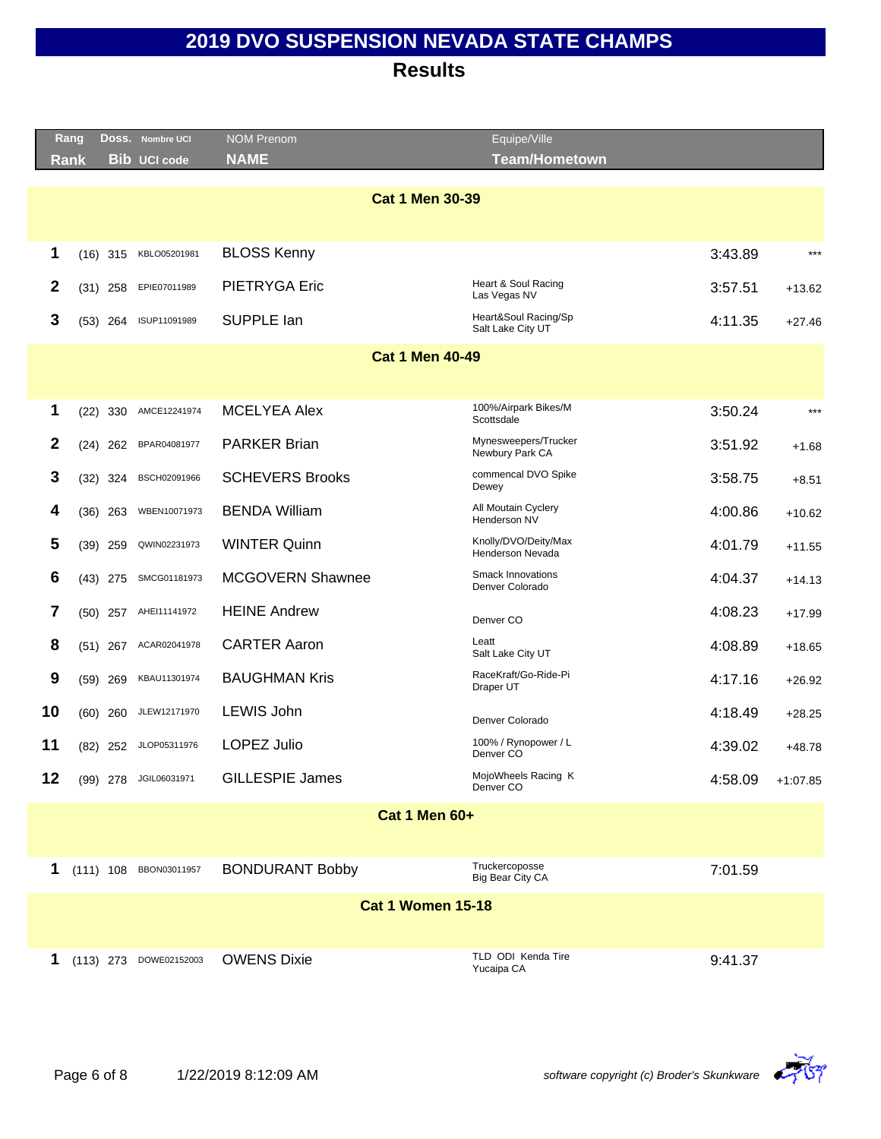|                        | Rang        |            | Doss. Nombre UCI       | <b>NOM Prenom</b>        | Equipe/Ville                                |         |            |  |  |
|------------------------|-------------|------------|------------------------|--------------------------|---------------------------------------------|---------|------------|--|--|
|                        | <b>Rank</b> |            | <b>Bib UCI code</b>    | <b>NAME</b>              | <b>Team/Hometown</b>                        |         |            |  |  |
|                        |             |            |                        |                          |                                             |         |            |  |  |
| <b>Cat 1 Men 30-39</b> |             |            |                        |                          |                                             |         |            |  |  |
| 1                      |             | $(16)$ 315 | KBLO05201981           | <b>BLOSS Kenny</b>       |                                             | 3:43.89 | $***$      |  |  |
| 2                      |             | $(31)$ 258 | EPIE07011989           | <b>PIETRYGA Eric</b>     | Heart & Soul Racing<br>Las Vegas NV         | 3:57.51 | $+13.62$   |  |  |
| 3                      |             | $(53)$ 264 | ISUP11091989           | SUPPLE lan               | Heart&Soul Racing/Sp<br>Salt Lake City UT   | 4:11.35 | $+27.46$   |  |  |
|                        |             |            |                        | <b>Cat 1 Men 40-49</b>   |                                             |         |            |  |  |
|                        |             |            |                        |                          |                                             |         |            |  |  |
| 1                      |             |            | AMCE12241974           | <b>MCELYEA Alex</b>      | 100%/Airpark Bikes/M                        | 3:50.24 | $***$      |  |  |
|                        |             | $(22)$ 330 |                        |                          | Scottsdale                                  |         |            |  |  |
| $\mathbf{2}$           |             | $(24)$ 262 | BPAR04081977           | <b>PARKER Brian</b>      | Mynesweepers/Trucker<br>Newbury Park CA     | 3:51.92 | $+1.68$    |  |  |
| 3                      |             | $(32)$ 324 | BSCH02091966           | <b>SCHEVERS Brooks</b>   | commencal DVO Spike<br>Dewey                | 3:58.75 | $+8.51$    |  |  |
| 4                      |             | $(36)$ 263 | WBEN10071973           | <b>BENDA William</b>     | All Moutain Cyclery<br>Henderson NV         | 4:00.86 | $+10.62$   |  |  |
| 5                      |             | $(39)$ 259 | QWIN02231973           | <b>WINTER Quinn</b>      | Knolly/DVO/Deity/Max<br>Henderson Nevada    | 4:01.79 | $+11.55$   |  |  |
| 6                      |             | $(43)$ 275 | SMCG01181973           | MCGOVERN Shawnee         | <b>Smack Innovations</b><br>Denver Colorado | 4:04.37 | $+14.13$   |  |  |
| 7                      |             | $(50)$ 257 | AHEI11141972           | <b>HEINE Andrew</b>      | Denver CO                                   | 4:08.23 | $+17.99$   |  |  |
| 8                      |             | $(51)$ 267 | ACAR02041978           | <b>CARTER Aaron</b>      | Leatt<br>Salt Lake City UT                  | 4:08.89 | $+18.65$   |  |  |
| 9                      |             | $(59)$ 269 | KBAU11301974           | <b>BAUGHMAN Kris</b>     | RaceKraft/Go-Ride-Pi<br>Draper UT           | 4:17.16 | $+26.92$   |  |  |
| 10                     |             | $(60)$ 260 | JLEW12171970           | LEWIS John               | Denver Colorado                             | 4:18.49 | $+28.25$   |  |  |
| 11                     |             | $(82)$ 252 | JLOP05311976           | <b>LOPEZ Julio</b>       | 100% / Rynopower / L<br>Denver CO           | 4:39.02 | $+48.78$   |  |  |
| 12                     |             |            | (99) 278 JGIL06031971  | <b>GILLESPIE James</b>   | MojoWheels Racing K<br>Denver <sub>CO</sub> | 4:58.09 | $+1:07.85$ |  |  |
|                        |             |            |                        | <b>Cat 1 Men 60+</b>     |                                             |         |            |  |  |
|                        |             |            |                        |                          |                                             |         |            |  |  |
| 1                      |             |            | (111) 108 BBON03011957 | <b>BONDURANT Bobby</b>   | Truckercoposse<br>Big Bear City CA          | 7:01.59 |            |  |  |
|                        |             |            |                        | <b>Cat 1 Women 15-18</b> |                                             |         |            |  |  |
|                        |             |            |                        |                          |                                             |         |            |  |  |
| 1                      |             |            | (113) 273 DOWE02152003 | <b>OWENS Dixie</b>       | TLD ODI Kenda Tire<br>Yucaipa CA            | 9:41.37 |            |  |  |

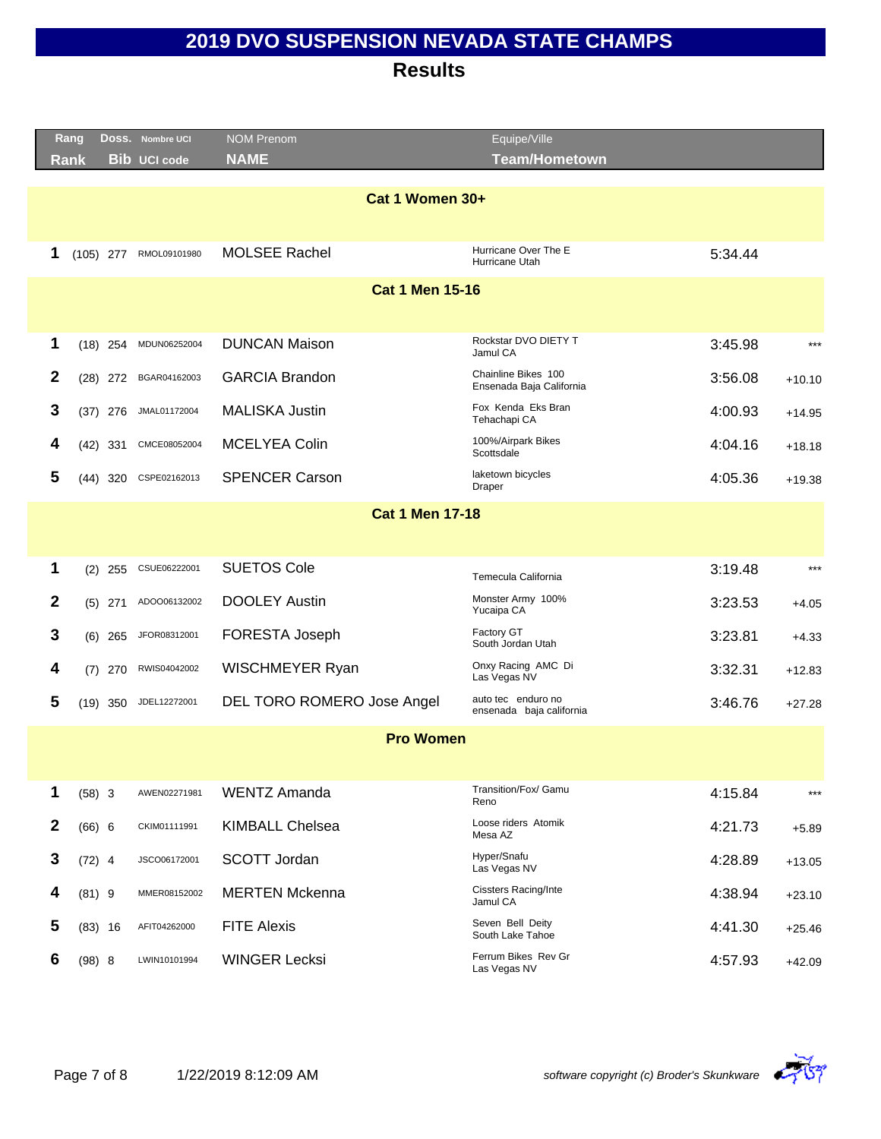|              | Rang     |             | DOSS. Nombre UCI    | <b>NOM Prenom</b>          | Equipe/Ville                                    |         |                       |
|--------------|----------|-------------|---------------------|----------------------------|-------------------------------------------------|---------|-----------------------|
|              | Rank     |             | <b>Bib UCI code</b> | <b>NAME</b>                | <b>Team/Hometown</b>                            |         |                       |
|              |          |             |                     |                            |                                                 |         |                       |
|              |          |             |                     | Cat 1 Women 30+            |                                                 |         |                       |
|              |          |             |                     |                            |                                                 |         |                       |
| 1            |          | $(105)$ 277 | RMOL09101980        | <b>MOLSEE Rachel</b>       | Hurricane Over The E<br>Hurricane Utah          | 5:34.44 |                       |
|              |          |             |                     | <b>Cat 1 Men 15-16</b>     |                                                 |         |                       |
|              |          |             |                     |                            |                                                 |         |                       |
| 1            |          | $(18)$ 254  | MDUN06252004        | <b>DUNCAN Maison</b>       | Rockstar DVO DIETY T<br>Jamul CA                | 3:45.98 | $***$                 |
| $\mathbf{2}$ |          | $(28)$ 272  | BGAR04162003        | <b>GARCIA Brandon</b>      | Chainline Bikes 100<br>Ensenada Baja California | 3:56.08 | $+10.10$              |
| 3            |          | $(37)$ 276  | JMAL01172004        | <b>MALISKA Justin</b>      | Fox Kenda Eks Bran<br>Tehachapi CA              | 4:00.93 | $+14.95$              |
| 4            |          | $(42)$ 331  | CMCE08052004        | <b>MCELYEA Colin</b>       | 100%/Airpark Bikes<br>Scottsdale                | 4:04.16 | $+18.18$              |
| 5            |          | $(44)$ 320  | CSPE02162013        | <b>SPENCER Carson</b>      | laketown bicycles<br>Draper                     | 4:05.36 | $+19.38$              |
|              |          |             |                     | <b>Cat 1 Men 17-18</b>     |                                                 |         |                       |
|              |          |             |                     |                            |                                                 |         |                       |
| 1            |          |             | CSUE06222001        | <b>SUETOS Cole</b>         |                                                 | 3:19.48 | $***$                 |
|              |          | $(2)$ 255   |                     |                            | Temecula California                             |         |                       |
| $\mathbf{2}$ |          | $(5)$ 271   | ADOO06132002        | <b>DOOLEY Austin</b>       | Monster Army 100%<br>Yucaipa CA                 | 3:23.53 | $+4.05$               |
| 3            |          | $(6)$ 265   | JFOR08312001        | FORESTA Joseph             | Factory GT<br>South Jordan Utah                 | 3:23.81 | $+4.33$               |
| 4            | (7)      | 270         | RWIS04042002        | WISCHMEYER Ryan            | Onxy Racing AMC Di<br>Las Vegas NV              | 3:32.31 | $+12.83$              |
| 5            |          | $(19)$ 350  | JDEL12272001        | DEL TORO ROMERO Jose Angel | auto tec enduro no<br>ensenada baja california  | 3:46.76 | $+27.28$              |
|              |          |             |                     | <b>Pro Women</b>           |                                                 |         |                       |
|              |          |             |                     |                            |                                                 |         |                       |
| 1            | $(58)$ 3 |             | AWEN02271981        | <b>WENTZ Amanda</b>        | Transition/Fox/ Gamu<br>Reno                    | 4:15.84 | $\star\!\star\!\star$ |
| $\mathbf{2}$ | (66) 6   |             | CKIM01111991        | <b>KIMBALL Chelsea</b>     | Loose riders Atomik<br>Mesa AZ                  | 4:21.73 | $+5.89$               |
| 3            | $(72)$ 4 |             | JSCO06172001        | SCOTT Jordan               | Hyper/Snafu<br>Las Vegas NV                     | 4:28.89 | $+13.05$              |
| 4            | $(81)$ 9 |             | MMER08152002        | <b>MERTEN Mckenna</b>      | <b>Cissters Racing/Inte</b><br>Jamul CA         | 4:38.94 | $+23.10$              |
| 5            |          | $(83)$ 16   | AFIT04262000        | <b>FITE Alexis</b>         | Seven Bell Deity<br>South Lake Tahoe            | 4:41.30 | $+25.46$              |
| 6            | (98) 8   |             | LWIN10101994        | <b>WINGER Lecksi</b>       | Ferrum Bikes Rev Gr<br>Las Vegas NV             | 4:57.93 | $+42.09$              |